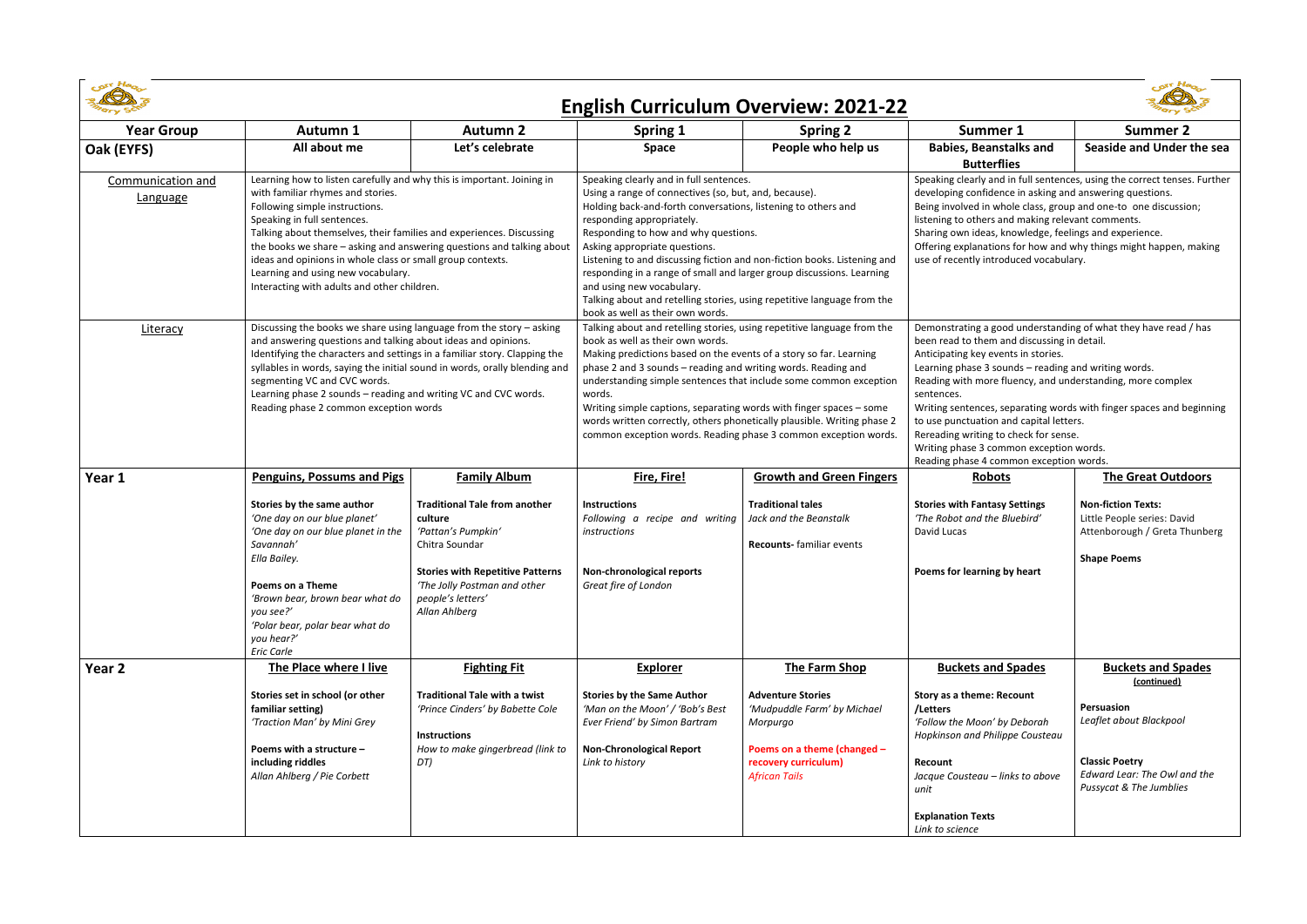

| COST Heo<br>ex He<br><b>English Curriculum Overview: 2021-22</b> |                                                                                                                                                                                                                                                                                                                                                                                                                                                                                  |                                                                                                                                                                                                          |                                                                                                                                                                                                                                                                                                                                                                                                                                                                                                                                                                          |                                                                                                                                                    |                                                                                                                                                                                                                                                                                                                                                                                                                                                                                                                                             |                                                                                                                           |  |  |  |
|------------------------------------------------------------------|----------------------------------------------------------------------------------------------------------------------------------------------------------------------------------------------------------------------------------------------------------------------------------------------------------------------------------------------------------------------------------------------------------------------------------------------------------------------------------|----------------------------------------------------------------------------------------------------------------------------------------------------------------------------------------------------------|--------------------------------------------------------------------------------------------------------------------------------------------------------------------------------------------------------------------------------------------------------------------------------------------------------------------------------------------------------------------------------------------------------------------------------------------------------------------------------------------------------------------------------------------------------------------------|----------------------------------------------------------------------------------------------------------------------------------------------------|---------------------------------------------------------------------------------------------------------------------------------------------------------------------------------------------------------------------------------------------------------------------------------------------------------------------------------------------------------------------------------------------------------------------------------------------------------------------------------------------------------------------------------------------|---------------------------------------------------------------------------------------------------------------------------|--|--|--|
| <b>Year Group</b>                                                | Autumn 1                                                                                                                                                                                                                                                                                                                                                                                                                                                                         | <b>Autumn 2</b>                                                                                                                                                                                          | <b>Spring 1</b>                                                                                                                                                                                                                                                                                                                                                                                                                                                                                                                                                          | <b>Spring 2</b>                                                                                                                                    | Summer 1                                                                                                                                                                                                                                                                                                                                                                                                                                                                                                                                    | Summer 2                                                                                                                  |  |  |  |
| Oak (EYFS)                                                       | All about me                                                                                                                                                                                                                                                                                                                                                                                                                                                                     | Let's celebrate                                                                                                                                                                                          | <b>Space</b>                                                                                                                                                                                                                                                                                                                                                                                                                                                                                                                                                             | People who help us                                                                                                                                 | <b>Babies, Beanstalks and</b><br><b>Butterflies</b>                                                                                                                                                                                                                                                                                                                                                                                                                                                                                         | Seaside and Under the sea                                                                                                 |  |  |  |
| Communication and<br>Language                                    | Learning how to listen carefully and why this is important. Joining in<br>with familiar rhymes and stories.<br>Following simple instructions.<br>Speaking in full sentences.<br>Talking about themselves, their families and experiences. Discussing<br>the books we share - asking and answering questions and talking about<br>ideas and opinions in whole class or small group contexts.<br>Learning and using new vocabulary.<br>Interacting with adults and other children. |                                                                                                                                                                                                          | Speaking clearly and in full sentences.<br>Using a range of connectives (so, but, and, because).<br>Holding back-and-forth conversations, listening to others and<br>responding appropriately.<br>Responding to how and why questions.<br>Asking appropriate questions.<br>Listening to and discussing fiction and non-fiction books. Listening and<br>responding in a range of small and larger group discussions. Learning<br>and using new vocabulary.<br>Talking about and retelling stories, using repetitive language from the<br>book as well as their own words. |                                                                                                                                                    | Speaking clearly and in full sentences, using the correct tenses. Further<br>developing confidence in asking and answering questions.<br>Being involved in whole class, group and one-to one discussion;<br>listening to others and making relevant comments.<br>Sharing own ideas, knowledge, feelings and experience.<br>Offering explanations for how and why things might happen, making<br>use of recently introduced vocabulary.                                                                                                      |                                                                                                                           |  |  |  |
| Literacy                                                         | Discussing the books we share using language from the story - asking<br>and answering questions and talking about ideas and opinions.<br>Identifying the characters and settings in a familiar story. Clapping the<br>syllables in words, saying the initial sound in words, orally blending and<br>segmenting VC and CVC words.<br>Learning phase 2 sounds - reading and writing VC and CVC words.<br>Reading phase 2 common exception words                                    |                                                                                                                                                                                                          | Talking about and retelling stories, using repetitive language from the<br>book as well as their own words.<br>Making predictions based on the events of a story so far. Learning<br>phase 2 and 3 sounds - reading and writing words. Reading and<br>understanding simple sentences that include some common exception<br>words.<br>Writing simple captions, separating words with finger spaces - some<br>words written correctly, others phonetically plausible. Writing phase 2<br>common exception words. Reading phase 3 common exception words.                   |                                                                                                                                                    | Demonstrating a good understanding of what they have read / has<br>been read to them and discussing in detail.<br>Anticipating key events in stories.<br>Learning phase 3 sounds - reading and writing words.<br>Reading with more fluency, and understanding, more complex<br>sentences.<br>Writing sentences, separating words with finger spaces and beginning<br>to use punctuation and capital letters.<br>Rereading writing to check for sense.<br>Writing phase 3 common exception words.<br>Reading phase 4 common exception words. |                                                                                                                           |  |  |  |
| Year 1                                                           | <b>Penguins, Possums and Pigs</b>                                                                                                                                                                                                                                                                                                                                                                                                                                                | <b>Family Album</b>                                                                                                                                                                                      | Fire, Fire!                                                                                                                                                                                                                                                                                                                                                                                                                                                                                                                                                              | <b>Growth and Green Fingers</b>                                                                                                                    | <b>Robots</b>                                                                                                                                                                                                                                                                                                                                                                                                                                                                                                                               | <b>The Great Outdoors</b>                                                                                                 |  |  |  |
|                                                                  | Stories by the same author<br>'One day on our blue planet'<br>'One day on our blue planet in the<br>Savannah'<br>Ella Bailey.<br><b>Poems on a Theme</b><br>'Brown bear, brown bear what do<br>you see?'<br>'Polar bear, polar bear what do<br>you hear?'<br>Eric Carle                                                                                                                                                                                                          | <b>Traditional Tale from another</b><br>culture<br>'Pattan's Pumpkin'<br>Chitra Soundar<br><b>Stories with Repetitive Patterns</b><br>'The Jolly Postman and other<br>people's letters'<br>Allan Ahlberg | <b>Instructions</b><br>Following a recipe and writing<br>instructions<br>Non-chronological reports<br>Great fire of London                                                                                                                                                                                                                                                                                                                                                                                                                                               | <b>Traditional tales</b><br>Jack and the Beanstalk<br><b>Recounts-</b> familiar events                                                             | <b>Stories with Fantasy Settings</b><br>'The Robot and the Bluebird'<br>David Lucas<br>Poems for learning by heart                                                                                                                                                                                                                                                                                                                                                                                                                          | <b>Non-fiction Texts:</b><br>Little People series: David<br>Attenborough / Greta Thunberg<br><b>Shape Poems</b>           |  |  |  |
| Year 2                                                           | The Place where I live                                                                                                                                                                                                                                                                                                                                                                                                                                                           | <b>Fighting Fit</b>                                                                                                                                                                                      | <b>Explorer</b>                                                                                                                                                                                                                                                                                                                                                                                                                                                                                                                                                          | The Farm Shop                                                                                                                                      | <b>Buckets and Spades</b>                                                                                                                                                                                                                                                                                                                                                                                                                                                                                                                   | <b>Buckets and Spades</b><br>(continued)                                                                                  |  |  |  |
|                                                                  | Stories set in school (or other<br>familiar setting)<br>'Traction Man' by Mini Grey<br>Poems with a structure -<br>including riddles<br>Allan Ahlberg / Pie Corbett                                                                                                                                                                                                                                                                                                              | <b>Traditional Tale with a twist</b><br>'Prince Cinders' by Babette Cole<br><b>Instructions</b><br>How to make gingerbread (link to<br>DT)                                                               | <b>Stories by the Same Author</b><br>'Man on the Moon' / 'Bob's Best<br>Ever Friend' by Simon Bartram<br><b>Non-Chronological Report</b><br>Link to history                                                                                                                                                                                                                                                                                                                                                                                                              | <b>Adventure Stories</b><br>'Mudpuddle Farm' by Michael<br>Morpurgo<br>Poems on a theme (changed -<br>recovery curriculum)<br><b>African Tails</b> | <b>Story as a theme: Recount</b><br>/Letters<br>'Follow the Moon' by Deborah<br>Hopkinson and Philippe Cousteau<br><b>Recount</b><br>Jacque Cousteau - links to above<br>unit                                                                                                                                                                                                                                                                                                                                                               | Persuasion<br>Leaflet about Blackpool<br><b>Classic Poetry</b><br>Edward Lear: The Owl and the<br>Pussycat & The Jumblies |  |  |  |
|                                                                  |                                                                                                                                                                                                                                                                                                                                                                                                                                                                                  |                                                                                                                                                                                                          |                                                                                                                                                                                                                                                                                                                                                                                                                                                                                                                                                                          |                                                                                                                                                    | <b>Explanation Texts</b><br>Link to science                                                                                                                                                                                                                                                                                                                                                                                                                                                                                                 |                                                                                                                           |  |  |  |